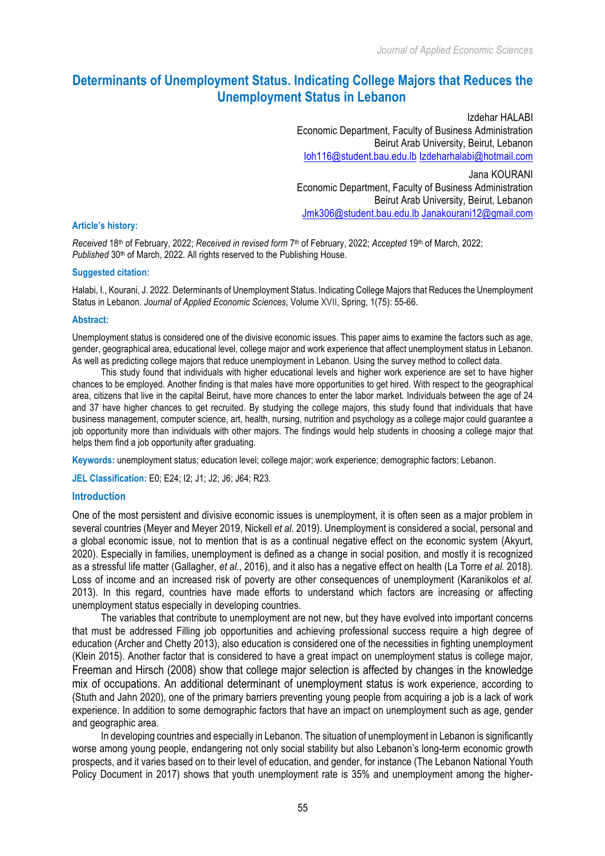*Journal of Applied Economic Sciences*

# **Determinants of Unemployment Status. Indicating College Majors that Reduces the Unemployment Status in Lebanon**

Izdehar HALABI Economic Department, Faculty of Business Administration Beirut Arab University, Beirut, Lebanon Ioh116@student.bau.edu.lb Izdeharhalabi@hotmail.com Jana KOURANI Economic Department, Faculty of Business Administration

Beirut Arab University, Beirut, Lebanon Jmk306@student.bau.edu.lb Janakourani12@gmail.com

#### **Article's history:**

*Received* 18th of February, 2022; *Received in revised form* 7th of February, 2022; *Accepted* 19th of March, 2022; *Published* 30<sup>th</sup> of March, 2022. All rights reserved to the Publishing House.

#### **Suggested citation:**

Halabi, I., Kourani, J. 2022. Determinants of Unemployment Status. Indicating College Majors that Reduces the Unemployment Status in Lebanon. *Journal of Applied Economic Sciences*, Volume XVII, Spring, 1(75): 55-66.

#### **Abstract:**

Unemployment status is considered one of the divisive economic issues. This paper aims to examine the factors such as age, gender, geographical area, educational level, college major and work experience that affect unemployment status in Lebanon. As well as predicting college majors that reduce unemployment in Lebanon. Using the survey method to collect data.

This study found that individuals with higher educational levels and higher work experience are set to have higher chances to be employed. Another finding is that males have more opportunities to get hired. With respect to the geographical area, citizens that live in the capital Beirut, have more chances to enter the labor market. Individuals between the age of 24 and 37 have higher chances to get recruited. By studying the college majors, this study found that individuals that have business management, computer science, art, health, nursing, nutrition and psychology as a college major could guarantee a job opportunity more than individuals with other majors. The findings would help students in choosing a college major that helps them find a job opportunity after graduating.

**Keywords:** unemployment status; education level; college major; work experience; demographic factors; Lebanon.

**JEL Classification:** E0; E24; I2; J1; J2; J6; J64; R23.

# **Introduction**

One of the most persistent and divisive economic issues is unemployment, it is often seen as a major problem in several countries (Meyer and Meyer 2019, Nickell *et al*. 2019). Unemployment is considered a social, personal and a global economic issue, not to mention that is as a continual negative effect on the economic system (Akyurt, 2020). Especially in families, unemployment is defined as a change in social position, and mostly it is recognized as a stressful life matter (Gallagher, *et al.*, 2016), and it also has a negative effect on health (La Torre *et al.* 2018). Loss of income and an increased risk of poverty are other consequences of unemployment (Karanikolos *et al.* 2013). In this regard, countries have made efforts to understand which factors are increasing or affecting unemployment status especially in developing countries.

The variables that contribute to unemployment are not new, but they have evolved into important concerns that must be addressed Filling job opportunities and achieving professional success require a high degree of education (Archer and Chetty 2013), also education is considered one of the necessities in fighting unemployment (Klein 2015). Another factor that is considered to have a great impact on unemployment status is college major, Freeman and Hirsch (2008) show that college major selection is affected by changes in the knowledge mix of occupations. An additional determinant of unemployment status is work experience, according to (Stuth and Jahn 2020), one of the primary barriers preventing young people from acquiring a job is a lack of work experience. In addition to some demographic factors that have an impact on unemployment such as age, gender and geographic area.

In developing countries and especially in Lebanon. The situation of unemployment in Lebanon is significantly worse among young people, endangering not only social stability but also Lebanon's long-term economic growth prospects, and it varies based on to their level of education, and gender, for instance (The Lebanon National Youth Policy Document in 2017) shows that youth unemployment rate is 35% and unemployment among the higher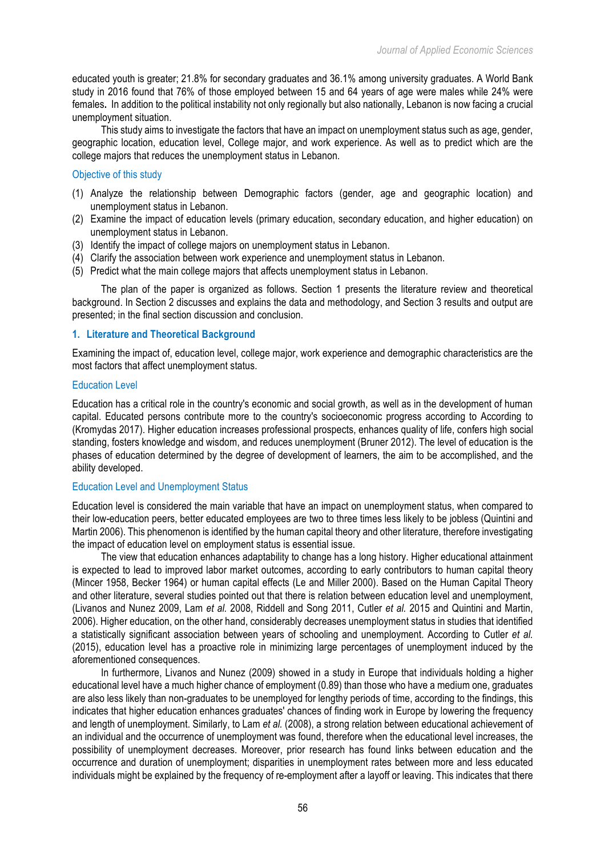educated youth is greater; 21.8% for secondary graduates and 36.1% among university graduates. A World Bank study in 2016 found that 76% of those employed between 15 and 64 years of age were males while 24% were females**.** In addition to the political instability not only regionally but also nationally, Lebanon is now facing a crucial unemployment situation.

This study aims to investigate the factors that have an impact on unemployment status such as age, gender, geographic location, education level, College major, and work experience. As well as to predict which are the college majors that reduces the unemployment status in Lebanon.

Objective of this study

- (1) Analyze the relationship between Demographic factors (gender, age and geographic location) and unemployment status in Lebanon.
- (2) Examine the impact of education levels (primary education, secondary education, and higher education) on unemployment status in Lebanon.
- (3) Identify the impact of college majors on unemployment status in Lebanon.
- (4) Clarify the association between work experience and unemployment status in Lebanon.
- (5) Predict what the main college majors that affects unemployment status in Lebanon.

The plan of the paper is organized as follows. Section 1 presents the literature review and theoretical background. In Section 2 discusses and explains the data and methodology, and Section 3 results and output are presented; in the final section discussion and conclusion.

# **1. Literature and Theoretical Background**

Examining the impact of, education level, college major, work experience and demographic characteristics are the most factors that affect unemployment status.

#### Education Level

Education has a critical role in the country's economic and social growth, as well as in the development of human capital. Educated persons contribute more to the country's socioeconomic progress according to According to (Kromydas 2017). Higher education increases professional prospects, enhances quality of life, confers high social standing, fosters knowledge and wisdom, and reduces unemployment (Bruner 2012). The level of education is the phases of education determined by the degree of development of learners, the aim to be accomplished, and the ability developed.

#### Education Level and Unemployment Status

Education level is considered the main variable that have an impact on unemployment status, when compared to their low-education peers, better educated employees are two to three times less likely to be jobless (Quintini and Martin 2006). This phenomenon is identified by the human capital theory and other literature, therefore investigating the impact of education level on employment status is essential issue.

The view that education enhances adaptability to change has a long history. Higher educational attainment is expected to lead to improved labor market outcomes, according to early contributors to human capital theory (Mincer 1958, Becker 1964) or human capital effects (Le and Miller 2000). Based on the Human Capital Theory and other literature, several studies pointed out that there is relation between education level and unemployment, (Livanos and Nunez 2009, Lam *et al.* 2008, Riddell and Song 2011, Cutler *et al.* 2015 and Quintini and Martin, 2006). Higher education, on the other hand, considerably decreases unemployment status in studies that identified a statistically significant association between years of schooling and unemployment. According to Cutler *et al.*  (2015), education level has a proactive role in minimizing large percentages of unemployment induced by the aforementioned consequences.

In furthermore, Livanos and Nunez (2009) showed in a study in Europe that individuals holding a higher educational level have a much higher chance of employment (0.89) than those who have a medium one, graduates are also less likely than non-graduates to be unemployed for lengthy periods of time, according to the findings, this indicates that higher education enhances graduates' chances of finding work in Europe by lowering the frequency and length of unemployment. Similarly, to Lam *et al.* (2008), a strong relation between educational achievement of an individual and the occurrence of unemployment was found, therefore when the educational level increases, the possibility of unemployment decreases. Moreover, prior research has found links between education and the occurrence and duration of unemployment; disparities in unemployment rates between more and less educated individuals might be explained by the frequency of re-employment after a layoff or leaving. This indicates that there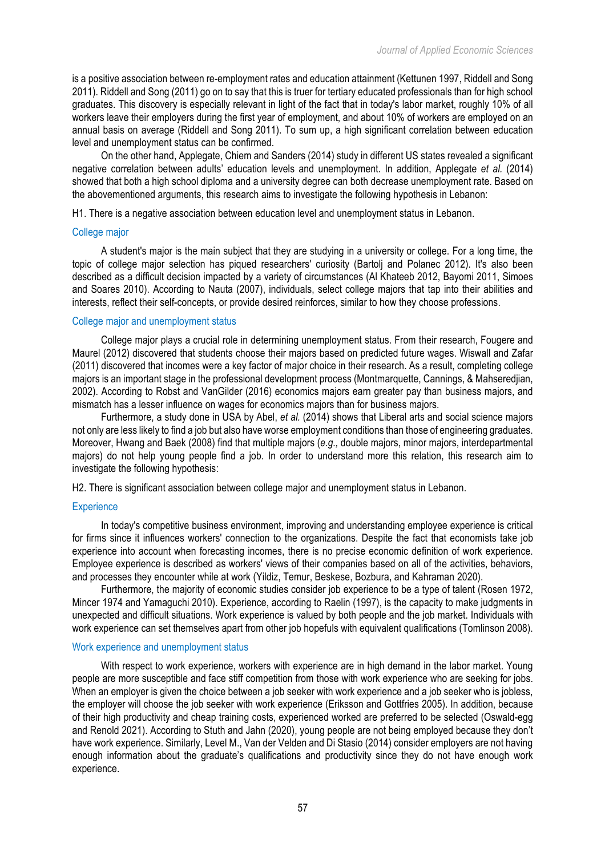is a positive association between re-employment rates and education attainment (Kettunen 1997, Riddell and Song 2011). Riddell and Song (2011) go on to say that this is truer for tertiary educated professionals than for high school graduates. This discovery is especially relevant in light of the fact that in today's labor market, roughly 10% of all workers leave their employers during the first year of employment, and about 10% of workers are employed on an annual basis on average (Riddell and Song 2011). To sum up, a high significant correlation between education level and unemployment status can be confirmed.

On the other hand, Applegate, Chiem and Sanders (2014) study in different US states revealed a significant negative correlation between adults' education levels and unemployment. In addition, Applegate *et al.* (2014) showed that both a high school diploma and a university degree can both decrease unemployment rate. Based on the abovementioned arguments, this research aims to investigate the following hypothesis in Lebanon:

H1. There is a negative association between education level and unemployment status in Lebanon.

#### College major

A student's major is the main subject that they are studying in a university or college. For a long time, the topic of college major selection has piqued researchers' curiosity (Bartolj and Polanec 2012). It's also been described as a difficult decision impacted by a variety of circumstances (Al Khateeb 2012, Bayomi 2011, Simoes and Soares 2010). According to Nauta (2007), individuals, select college majors that tap into their abilities and interests, reflect their self-concepts, or provide desired reinforces, similar to how they choose professions.

#### College major and unemployment status

College major plays a crucial role in determining unemployment status. From their research, Fougere and Maurel (2012) discovered that students choose their majors based on predicted future wages. Wiswall and Zafar (2011) discovered that incomes were a key factor of major choice in their research. As a result, completing college majors is an important stage in the professional development process (Montmarquette, Cannings, & Mahseredjian, 2002). According to Robst and VanGilder (2016) economics majors earn greater pay than business majors, and mismatch has a lesser influence on wages for economics majors than for business majors.

Furthermore, a study done in USA by Abel, *et al.* (2014) shows that Liberal arts and social science majors not only are less likely to find a job but also have worse employment conditions than those of engineering graduates. Moreover, Hwang and Baek (2008) find that multiple majors (*e.g.,* double majors, minor majors, interdepartmental majors) do not help young people find a job. In order to understand more this relation, this research aim to investigate the following hypothesis:

H2. There is significant association between college major and unemployment status in Lebanon.

### **Experience**

In today's competitive business environment, improving and understanding employee experience is critical for firms since it influences workers' connection to the organizations. Despite the fact that economists take job experience into account when forecasting incomes, there is no precise economic definition of work experience. Employee experience is described as workers' views of their companies based on all of the activities, behaviors, and processes they encounter while at work (Yildiz, Temur, Beskese, Bozbura, and Kahraman 2020).

Furthermore, the majority of economic studies consider job experience to be a type of talent (Rosen 1972, Mincer 1974 and Yamaguchi 2010). Experience, according to Raelin (1997), is the capacity to make judgments in unexpected and difficult situations. Work experience is valued by both people and the job market. Individuals with work experience can set themselves apart from other job hopefuls with equivalent qualifications (Tomlinson 2008).

#### Work experience and unemployment status

With respect to work experience, workers with experience are in high demand in the labor market. Young people are more susceptible and face stiff competition from those with work experience who are seeking for jobs. When an employer is given the choice between a job seeker with work experience and a job seeker who is jobless, the employer will choose the job seeker with work experience (Eriksson and Gottfries 2005). In addition, because of their high productivity and cheap training costs, experienced worked are preferred to be selected (Oswald-egg and Renold 2021). According to Stuth and Jahn (2020), young people are not being employed because they don't have work experience. Similarly, Level M., Van der Velden and Di Stasio (2014) consider employers are not having enough information about the graduate's qualifications and productivity since they do not have enough work experience.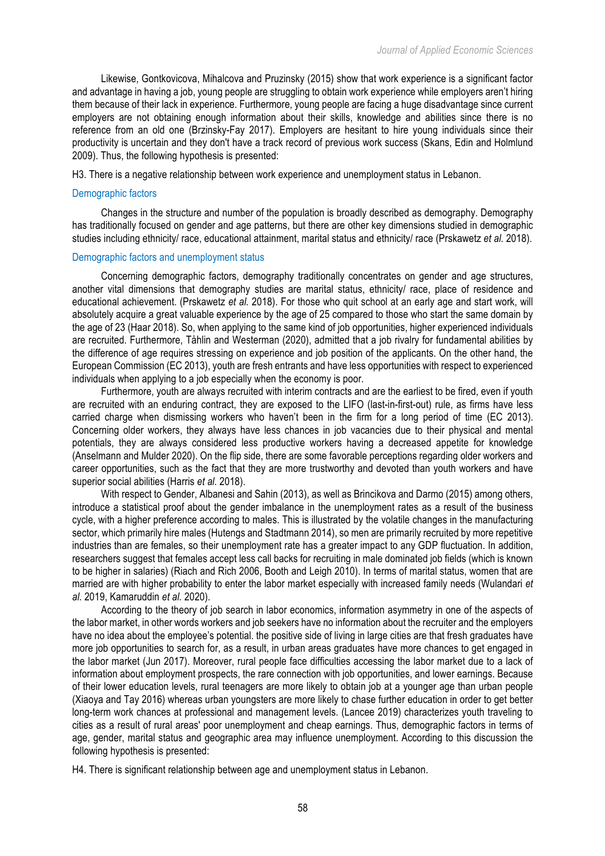Likewise, Gontkovicova, Mihalcova and Pruzinsky (2015) show that work experience is a significant factor and advantage in having a job, young people are struggling to obtain work experience while employers aren't hiring them because of their lack in experience. Furthermore, young people are facing a huge disadvantage since current employers are not obtaining enough information about their skills, knowledge and abilities since there is no reference from an old one (Brzinsky-Fay 2017). Employers are hesitant to hire young individuals since their productivity is uncertain and they don't have a track record of previous work success (Skans, Edin and Holmlund 2009). Thus, the following hypothesis is presented:

H3. There is a negative relationship between work experience and unemployment status in Lebanon.

#### Demographic factors

Changes in the structure and number of the population is broadly described as demography. Demography has traditionally focused on gender and age patterns, but there are other key dimensions studied in demographic studies including ethnicity/ race, educational attainment, marital status and ethnicity/ race (Prskawetz *et al.* 2018).

# Demographic factors and unemployment status

Concerning demographic factors, demography traditionally concentrates on gender and age structures, another vital dimensions that demography studies are marital status, ethnicity/ race, place of residence and educational achievement. (Prskawetz *et al.* 2018). For those who quit school at an early age and start work, will absolutely acquire a great valuable experience by the age of 25 compared to those who start the same domain by the age of 23 (Haar 2018). So, when applying to the same kind of job opportunities, higher experienced individuals are recruited. Furthermore, Tåhlin and Westerman (2020), admitted that a job rivalry for fundamental abilities by the difference of age requires stressing on experience and job position of the applicants. On the other hand, the European Commission (EC 2013), youth are fresh entrants and have less opportunities with respect to experienced individuals when applying to a job especially when the economy is poor.

Furthermore, youth are always recruited with interim contracts and are the earliest to be fired, even if youth are recruited with an enduring contract, they are exposed to the LIFO (last-in-first-out) rule, as firms have less carried charge when dismissing workers who haven't been in the firm for a long period of time (EC 2013). Concerning older workers, they always have less chances in job vacancies due to their physical and mental potentials, they are always considered less productive workers having a decreased appetite for knowledge (Anselmann and Mulder 2020). On the flip side, there are some favorable perceptions regarding older workers and career opportunities, such as the fact that they are more trustworthy and devoted than youth workers and have superior social abilities (Harris *et al.* 2018).

With respect to Gender, Albanesi and Sahin (2013), as well as Brincikova and Darmo (2015) among others, introduce a statistical proof about the gender imbalance in the unemployment rates as a result of the business cycle, with a higher preference according to males. This is illustrated by the volatile changes in the manufacturing sector, which primarily hire males (Hutengs and Stadtmann 2014), so men are primarily recruited by more repetitive industries than are females, so their unemployment rate has a greater impact to any GDP fluctuation. In addition, researchers suggest that females accept less call backs for recruiting in male dominated job fields (which is known to be higher in salaries) (Riach and Rich 2006, Booth and Leigh 2010). In terms of marital status, women that are married are with higher probability to enter the labor market especially with increased family needs (Wulandari *et al.* 2019, Kamaruddin *et al.* 2020).

According to the theory of job search in labor economics, information asymmetry in one of the aspects of the labor market, in other words workers and job seekers have no information about the recruiter and the employers have no idea about the employee's potential. the positive side of living in large cities are that fresh graduates have more job opportunities to search for, as a result, in urban areas graduates have more chances to get engaged in the labor market (Jun 2017). Moreover, rural people face difficulties accessing the labor market due to a lack of information about employment prospects, the rare connection with job opportunities, and lower earnings. Because of their lower education levels, rural teenagers are more likely to obtain job at a younger age than urban people (Xiaoya and Tay 2016) whereas urban youngsters are more likely to chase further education in order to get better long-term work chances at professional and management levels. (Lancee 2019) characterizes youth traveling to cities as a result of rural areas' poor unemployment and cheap earnings. Thus, demographic factors in terms of age, gender, marital status and geographic area may influence unemployment. According to this discussion the following hypothesis is presented:

H4. There is significant relationship between age and unemployment status in Lebanon.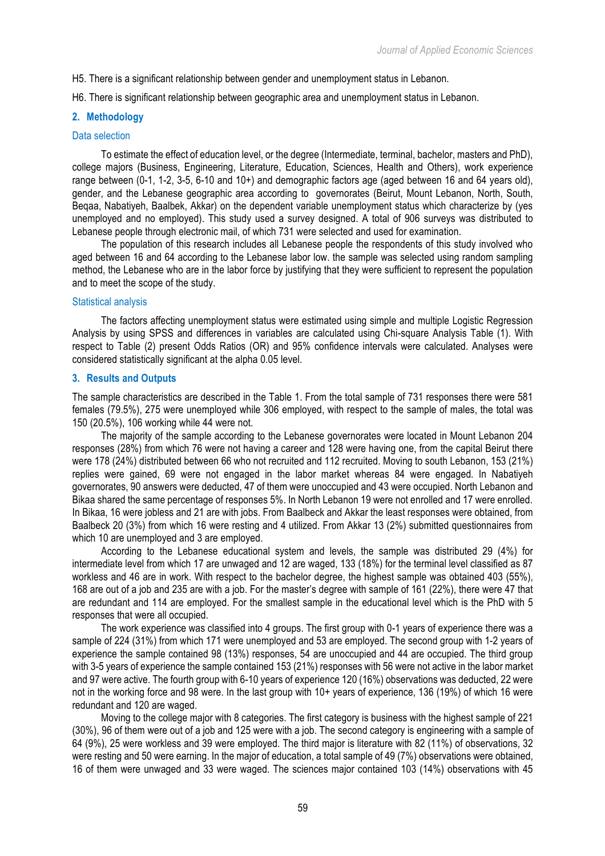H5. There is a significant relationship between gender and unemployment status in Lebanon.

H6. There is significant relationship between geographic area and unemployment status in Lebanon.

# **2. Methodology**

# Data selection

To estimate the effect of education level, or the degree (Intermediate, terminal, bachelor, masters and PhD), college majors (Business, Engineering, Literature, Education, Sciences, Health and Others), work experience range between (0-1, 1-2, 3-5, 6-10 and 10+) and demographic factors age (aged between 16 and 64 years old), gender, and the Lebanese geographic area according to governorates (Beirut, Mount Lebanon, North, South, Beqaa, Nabatiyeh, Baalbek, Akkar) on the dependent variable unemployment status which characterize by (yes unemployed and no employed). This study used a survey designed. A total of 906 surveys was distributed to Lebanese people through electronic mail, of which 731 were selected and used for examination.

The population of this research includes all Lebanese people the respondents of this study involved who aged between 16 and 64 according to the Lebanese labor low. the sample was selected using random sampling method, the Lebanese who are in the labor force by justifying that they were sufficient to represent the population and to meet the scope of the study.

#### Statistical analysis

The factors affecting unemployment status were estimated using simple and multiple Logistic Regression Analysis by using SPSS and differences in variables are calculated using Chi-square Analysis Table (1). With respect to Table (2) present Odds Ratios (OR) and 95% confidence intervals were calculated. Analyses were considered statistically significant at the alpha 0.05 level.

# **3. Results and Outputs**

The sample characteristics are described in the Table 1. From the total sample of 731 responses there were 581 females (79.5%), 275 were unemployed while 306 employed, with respect to the sample of males, the total was 150 (20.5%), 106 working while 44 were not.

The majority of the sample according to the Lebanese governorates were located in Mount Lebanon 204 responses (28%) from which 76 were not having a career and 128 were having one, from the capital Beirut there were 178 (24%) distributed between 66 who not recruited and 112 recruited. Moving to south Lebanon, 153 (21%) replies were gained, 69 were not engaged in the labor market whereas 84 were engaged. In Nabatiyeh governorates, 90 answers were deducted, 47 of them were unoccupied and 43 were occupied. North Lebanon and Bikaa shared the same percentage of responses 5%. In North Lebanon 19 were not enrolled and 17 were enrolled. In Bikaa, 16 were jobless and 21 are with jobs. From Baalbeck and Akkar the least responses were obtained, from Baalbeck 20 (3%) from which 16 were resting and 4 utilized. From Akkar 13 (2%) submitted questionnaires from which 10 are unemployed and 3 are employed.

According to the Lebanese educational system and levels, the sample was distributed 29 (4%) for intermediate level from which 17 are unwaged and 12 are waged, 133 (18%) for the terminal level classified as 87 workless and 46 are in work. With respect to the bachelor degree, the highest sample was obtained 403 (55%), 168 are out of a job and 235 are with a job. For the master's degree with sample of 161 (22%), there were 47 that are redundant and 114 are employed. For the smallest sample in the educational level which is the PhD with 5 responses that were all occupied.

The work experience was classified into 4 groups. The first group with 0-1 years of experience there was a sample of 224 (31%) from which 171 were unemployed and 53 are employed. The second group with 1-2 years of experience the sample contained 98 (13%) responses, 54 are unoccupied and 44 are occupied. The third group with 3-5 years of experience the sample contained 153 (21%) responses with 56 were not active in the labor market and 97 were active. The fourth group with 6-10 years of experience 120 (16%) observations was deducted, 22 were not in the working force and 98 were. In the last group with 10+ years of experience, 136 (19%) of which 16 were redundant and 120 are waged.

Moving to the college major with 8 categories. The first category is business with the highest sample of 221 (30%), 96 of them were out of a job and 125 were with a job. The second category is engineering with a sample of 64 (9%), 25 were workless and 39 were employed. The third major is literature with 82 (11%) of observations, 32 were resting and 50 were earning. In the major of education, a total sample of 49 (7%) observations were obtained, 16 of them were unwaged and 33 were waged. The sciences major contained 103 (14%) observations with 45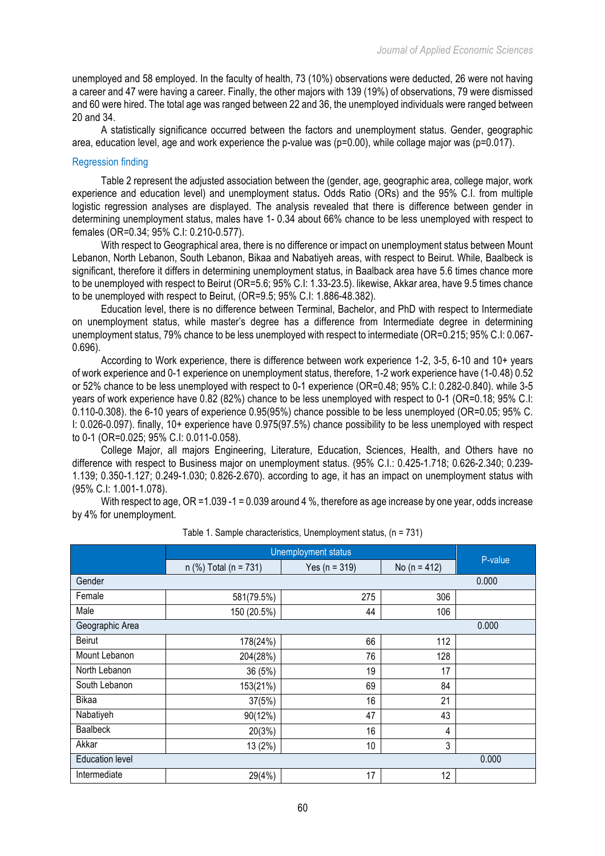unemployed and 58 employed. In the faculty of health, 73 (10%) observations were deducted, 26 were not having a career and 47 were having a career. Finally, the other majors with 139 (19%) of observations, 79 were dismissed and 60 were hired. The total age was ranged between 22 and 36, the unemployed individuals were ranged between 20 and 34.

A statistically significance occurred between the factors and unemployment status. Gender, geographic area, education level, age and work experience the p-value was (p=0.00), while collage major was (p=0.017).

# Regression finding

Table 2 represent the adjusted association between the (gender, age, geographic area, college major, work experience and education level) and unemployment status**.** Odds Ratio (ORs) and the 95% C.I. from multiple logistic regression analyses are displayed. The analysis revealed that there is difference between gender in determining unemployment status, males have 1- 0.34 about 66% chance to be less unemployed with respect to females (OR=0.34; 95% C.I: 0.210-0.577).

With respect to Geographical area, there is no difference or impact on unemployment status between Mount Lebanon, North Lebanon, South Lebanon, Bikaa and Nabatiyeh areas, with respect to Beirut. While, Baalbeck is significant, therefore it differs in determining unemployment status, in Baalback area have 5.6 times chance more to be unemployed with respect to Beirut (OR=5.6; 95% C.I: 1.33-23.5). likewise, Akkar area, have 9.5 times chance to be unemployed with respect to Beirut, (OR=9.5; 95% C.I: 1.886-48.382).

Education level, there is no difference between Terminal, Bachelor, and PhD with respect to Intermediate on unemployment status, while master's degree has a difference from Intermediate degree in determining unemployment status, 79% chance to be less unemployed with respect to intermediate (OR=0.215; 95% C.I: 0.067- 0.696).

According to Work experience, there is difference between work experience 1-2, 3-5, 6-10 and 10+ years of work experience and 0-1 experience on unemployment status, therefore, 1-2 work experience have (1-0.48) 0.52 or 52% chance to be less unemployed with respect to 0-1 experience (OR=0.48; 95% C.I: 0.282-0.840). while 3-5 years of work experience have 0.82 (82%) chance to be less unemployed with respect to 0-1 (OR=0.18; 95% C.I: 0.110-0.308). the 6-10 years of experience 0.95(95%) chance possible to be less unemployed (OR=0.05; 95% C. I: 0.026-0.097). finally, 10+ experience have 0.975(97.5%) chance possibility to be less unemployed with respect to 0-1 (OR=0.025; 95% C.I: 0.011-0.058).

College Major, all majors Engineering, Literature, Education, Sciences, Health, and Others have no difference with respect to Business major on unemployment status. (95% C.I.: 0.425-1.718; 0.626-2.340; 0.239- 1.139; 0.350-1.127; 0.249-1.030; 0.826-2.670). according to age, it has an impact on unemployment status with (95% C.I: 1.001-1.078).

With respect to age, OR = 1.039 - 1 = 0.039 around 4 %, therefore as age increase by one year, odds increase by 4% for unemployment.

|                                 | <b>Unemployment status</b> |                   |                  |         |  |
|---------------------------------|----------------------------|-------------------|------------------|---------|--|
|                                 | n (%) Total (n = 731)      | Yes ( $n = 319$ ) | No ( $n = 412$ ) | P-value |  |
| Gender                          |                            |                   |                  | 0.000   |  |
| Female                          | 581(79.5%)                 | 275               | 306              |         |  |
| Male                            | 150 (20.5%)                | 44                | 106              |         |  |
| Geographic Area                 |                            |                   |                  | 0.000   |  |
| <b>Beirut</b>                   | 178(24%)                   | 66                | 112              |         |  |
| Mount Lebanon                   | 204(28%)                   | 76                | 128              |         |  |
| North Lebanon                   | 36 (5%)                    | 19                | 17               |         |  |
| South Lebanon                   | 153(21%)                   | 69                | 84               |         |  |
| Bikaa                           | 37(5%)                     | 16                | 21               |         |  |
| Nabatiyeh                       | 90(12%)                    | 47                | 43               |         |  |
| <b>Baalbeck</b>                 | 20(3%)                     | 16                | 4                |         |  |
| Akkar                           | 13 (2%)                    | 10                | 3                |         |  |
| <b>Education level</b><br>0.000 |                            |                   |                  |         |  |
| Intermediate                    | 29(4%)                     | 17                | 12               |         |  |

| Table 1. Sample characteristics, Unemployment status, (n = 731) |  |  |
|-----------------------------------------------------------------|--|--|
|-----------------------------------------------------------------|--|--|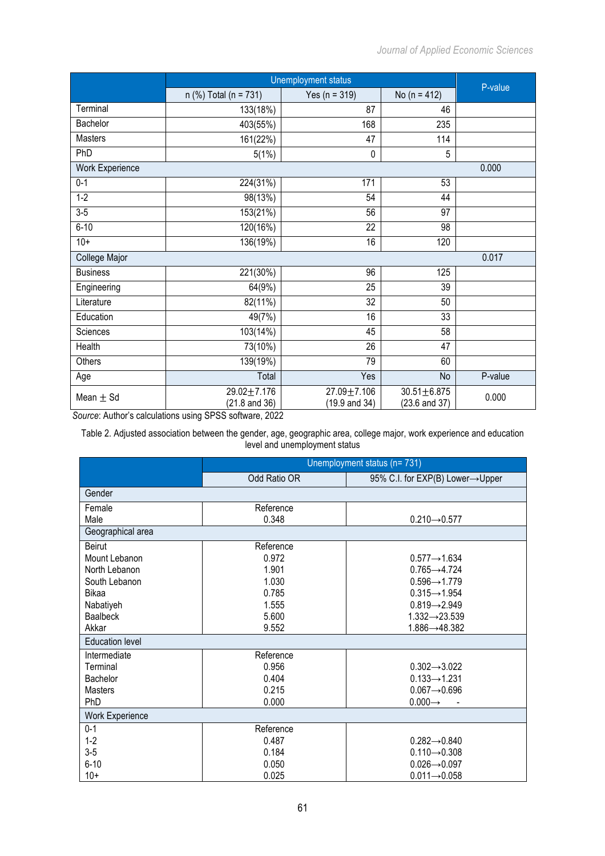|                        | Unemployment status                         | P-value                                     |                                               |         |
|------------------------|---------------------------------------------|---------------------------------------------|-----------------------------------------------|---------|
|                        | n (%) Total (n = 731)                       | Yes ( $n = 319$ )                           | No ( $n = 412$ )                              |         |
| Terminal               | 133(18%)                                    | 87                                          | 46                                            |         |
| Bachelor               | 403(55%)                                    | 168                                         | 235                                           |         |
| Masters                | 161(22%)                                    | 47                                          | 114                                           |         |
| PhD                    | 5(1%)                                       | 0                                           | 5                                             |         |
| <b>Work Experience</b> |                                             |                                             |                                               | 0.000   |
| $0 - 1$                | 224(31%)                                    | 171                                         | 53                                            |         |
| $1-2$                  | 98(13%)                                     | 54                                          | 44                                            |         |
| $3-5$                  | 153(21%)                                    | 56                                          | 97                                            |         |
| $6 - 10$               | 120(16%)                                    | 22                                          | 98                                            |         |
| $10+$                  | 136(19%)                                    | 16                                          | 120                                           |         |
| College Major          |                                             |                                             |                                               | 0.017   |
| <b>Business</b>        | 221(30%)                                    | 96                                          | 125                                           |         |
| Engineering            | 64(9%)                                      | 25                                          | 39                                            |         |
| Literature             | 82(11%)                                     | 32                                          | 50                                            |         |
| Education              | 49(7%)                                      | 16                                          | 33                                            |         |
| Sciences               | 103(14%)                                    | 45                                          | 58                                            |         |
| Health                 | 73(10%)                                     | 26                                          | 47                                            |         |
| Others                 | 139(19%)                                    | 79                                          | 60                                            |         |
| Age                    | Total                                       | Yes                                         | No                                            | P-value |
| Mean $\pm$ Sd          | $29.02 + 7.176$<br>$(21.8 \text{ and } 36)$ | $27.09 + 7.106$<br>$(19.9 \text{ and } 34)$ | $30.51 \pm 6.875$<br>$(23.6 \text{ and } 37)$ | 0.000   |

*Source*: Author's calculations using SPSS software, 2022

Table 2. Adjusted association between the gender, age, geographic area, college major, work experience and education level and unemployment status

|                        | Unemployment status (n= 731) |                                 |  |  |
|------------------------|------------------------------|---------------------------------|--|--|
|                        | Odd Ratio OR                 | 95% C.I. for EXP(B) Lower→Upper |  |  |
| Gender                 |                              |                                 |  |  |
| Female                 | Reference                    |                                 |  |  |
| Male                   | 0.348                        | $0.210 - 0.577$                 |  |  |
| Geographical area      |                              |                                 |  |  |
| <b>Beirut</b>          | Reference                    |                                 |  |  |
| Mount Lebanon          | 0.972                        | $0.577 \rightarrow 1.634$       |  |  |
| North Lebanon          | 1.901                        | $0.765 \rightarrow 4.724$       |  |  |
| South Lebanon          | 1.030                        | $0.596 \rightarrow 1.779$       |  |  |
| Bikaa                  | 0.785                        | $0.315 \rightarrow 1.954$       |  |  |
| Nabatiyeh              | 1.555                        | $0.819 - 2.949$                 |  |  |
| <b>Baalbeck</b>        | 5.600                        | $1.332 \rightarrow 23.539$      |  |  |
| Akkar                  | 9.552                        | $1.886 \rightarrow 48.382$      |  |  |
| <b>Education level</b> |                              |                                 |  |  |
| Intermediate           | Reference                    |                                 |  |  |
| Terminal               | 0.956                        | $0.302 - 3.022$                 |  |  |
| Bachelor               | 0.404                        | $0.133 \rightarrow 1.231$       |  |  |
| <b>Masters</b>         | 0.215                        | $0.067 - 0.696$                 |  |  |
| PhD                    | 0.000                        | $0.000 \rightarrow$             |  |  |
| <b>Work Experience</b> |                              |                                 |  |  |
| $0 - 1$                | Reference                    |                                 |  |  |
| $1 - 2$                | 0.487                        | $0.282 \rightarrow 0.840$       |  |  |
| $3-5$                  | 0.184                        | $0.110 - 0.308$                 |  |  |
| $6 - 10$               | 0.050                        | $0.026 \rightarrow 0.097$       |  |  |
| $10+$                  | 0.025                        | $0.011 \rightarrow 0.058$       |  |  |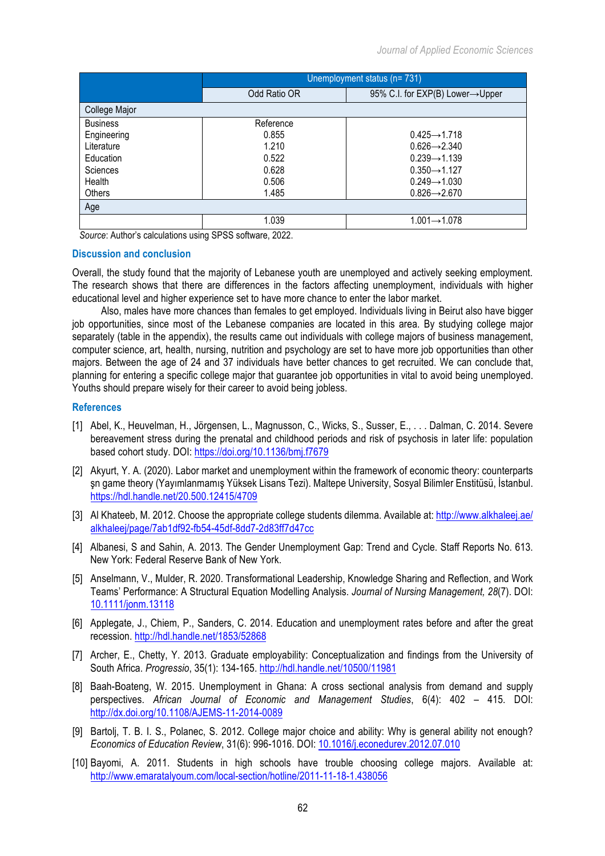|                 | Unemployment status (n= 731) |                                 |  |  |
|-----------------|------------------------------|---------------------------------|--|--|
|                 | Odd Ratio OR                 | 95% C.I. for EXP(B) Lower→Upper |  |  |
| College Major   |                              |                                 |  |  |
| <b>Business</b> | Reference                    |                                 |  |  |
| Engineering     | 0.855                        | $0.425 \rightarrow 1.718$       |  |  |
| Literature      | 1.210                        | $0.626 \rightarrow 2.340$       |  |  |
| Education       | 0.522                        | $0.239 \rightarrow 1.139$       |  |  |
| Sciences        | 0.628                        | $0.350 \rightarrow 1.127$       |  |  |
| Health          | 0.506                        | $0.249 \rightarrow 1.030$       |  |  |
| Others          | 1.485                        | $0.826 \rightarrow 2.670$       |  |  |
| Age             |                              |                                 |  |  |
|                 | 1.039                        | $1.001 \rightarrow 1.078$       |  |  |

*Source*: Author's calculations using SPSS software, 2022.

#### **Discussion and conclusion**

Overall, the study found that the majority of Lebanese youth are unemployed and actively seeking employment. The research shows that there are differences in the factors affecting unemployment, individuals with higher educational level and higher experience set to have more chance to enter the labor market.

Also, males have more chances than females to get employed. Individuals living in Beirut also have bigger job opportunities, since most of the Lebanese companies are located in this area. By studying college major separately (table in the appendix), the results came out individuals with college majors of business management, computer science, art, health, nursing, nutrition and psychology are set to have more job opportunities than other majors. Between the age of 24 and 37 individuals have better chances to get recruited. We can conclude that, planning for entering a specific college major that guarantee job opportunities in vital to avoid being unemployed. Youths should prepare wisely for their career to avoid being jobless.

# **References**

- [1] Abel, K., Heuvelman, H., Jörgensen, L., Magnusson, C., Wicks, S., Susser, E., . . . Dalman, C. 2014. Severe bereavement stress during the prenatal and childhood periods and risk of psychosis in later life: population based cohort study. DOI: https://doi.org/10.1136/bmj.f7679
- [2] Akyurt, Y. A. (2020). Labor market and unemployment within the framework of economic theory: counterparts şn game theory (Yayımlanmamış Yüksek Lisans Tezi). Maltepe University, Sosyal Bilimler Enstitüsü, İstanbul. https://hdl.handle.net/20.500.12415/4709
- [3] Al Khateeb, M. 2012. Choose the appropriate college students dilemma. Available at: http://www.alkhaleej.ae/ alkhaleej/page/7ab1df92-fb54-45df-8dd7-2d83ff7d47cc
- [4] Albanesi, S and Sahin, A. 2013. The Gender Unemployment Gap: Trend and Cycle. Staff Reports No. 613. New York: Federal Reserve Bank of New York.
- [5] Anselmann, V., Mulder, R. 2020. Transformational Leadership, Knowledge Sharing and Reflection, and Work Teams' Performance: A Structural Equation Modelling Analysis. *Journal of Nursing Management, 28*(7). DOI: 10.1111/jonm.13118
- [6] Applegate, J., Chiem, P., Sanders, C. 2014. Education and unemployment rates before and after the great recession. http://hdl.handle.net/1853/52868
- [7] Archer, E., Chetty, Y. 2013. Graduate employability: Conceptualization and findings from the University of South Africa. *Progressio*, 35(1): 134-165. http://hdl.handle.net/10500/11981
- [8] Baah-Boateng, W. 2015. Unemployment in Ghana: A cross sectional analysis from demand and supply perspectives. *African Journal of Economic and Management Studies*, 6(4): 402 – 415. DOI: http://dx.doi.org/10.1108/AJEMS-11-2014-0089
- [9] Bartolj, T. B. I. S., Polanec, S. 2012. College major choice and ability: Why is general ability not enough? *Economics of Education Review*, 31(6): 996-1016. DOI: 10.1016/j.econedurev.2012.07.010
- [10] Bayomi, A. 2011. Students in high schools have trouble choosing college majors. Available at: http://www.emaratalyoum.com/local-section/hotline/2011-11-18-1.438056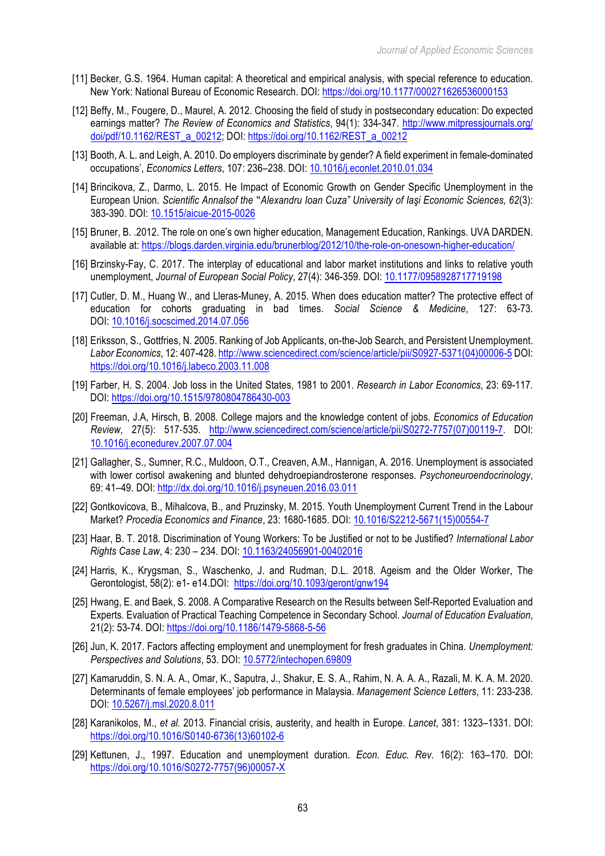- [11] Becker, G.S. 1964. Human capital: A theoretical and empirical analysis, with special reference to education. New York: National Bureau of Economic Research. DOI: https://doi.org/10.1177/000271626536000153
- [12] Beffy, M., Fougere, D., Maurel, A. 2012. Choosing the field of study in postsecondary education: Do expected earnings matter? *The Review of Economics and Statistics*, 94(1): 334-347. http://www.mitpressjournals.org/ doi/pdf/10.1162/REST\_a\_00212; DOI: https://doi.org/10.1162/REST\_a\_00212
- [13] Booth, A. L. and Leigh, A. 2010. Do employers discriminate by gender? A field experiment in female-dominated occupations', *Economics Letters*, 107: 236–238. DOI: 10.1016/j.econlet.2010.01.034
- [14] Brincikova, Z., Darmo, L. 2015. He Impact of Economic Growth on Gender Specific Unemployment in the European Union. *Scientific Annalsof the "Alexandru Ioan Cuza" University of Iaşi Economic Sciences, 62*(3): 383-390. DOI: 10.1515/aicue-2015-0026
- [15] Bruner, B. .2012. The role on one's own higher education, Management Education, Rankings. UVA DARDEN. available at: https://blogs.darden.virginia.edu/brunerblog/2012/10/the-role-on-onesown-higher-education/
- [16] Brzinsky-Fay, C. 2017. The interplay of educational and labor market institutions and links to relative youth unemployment, *Journal of European Social Policy*, 27(4): 346-359. DOI: 10.1177/0958928717719198
- [17] Cutler, D. M., Huang W., and Lleras-Muney, A. 2015. When does education matter? The protective effect of education for cohorts graduating in bad times. *Social Science & Medicine*, 127: 63-73. DOI: 10.1016/j.socscimed.2014.07.056
- [18] Eriksson, S., Gottfries, N. 2005. Ranking of Job Applicants, on-the-Job Search, and Persistent Unemployment. *Labor Economics*, 12: 407-428. http://www.sciencedirect.com/science/article/pii/S0927-5371(04)00006-5 DOI: https://doi.org/10.1016/j.labeco.2003.11.008
- [19] Farber, H. S. 2004. Job loss in the United States, 1981 to 2001. *Research in Labor Economics*, 23: 69-117. DOI: https://doi.org/10.1515/9780804786430-003
- [20] Freeman, J.A, Hirsch, B. 2008. College majors and the knowledge content of jobs. *Economics of Education Review,* 27(5): 517-535. http://www.sciencedirect.com/science/article/pii/S0272-7757(07)00119-7. DOI: 10.1016/j.econedurev.2007.07.004
- [21] Gallagher, S., Sumner, R.C., Muldoon, O.T., Creaven, A.M., Hannigan, A. 2016. Unemployment is associated with lower cortisol awakening and blunted dehydroepiandrosterone responses. *Psychoneuroendocrinology*, 69: 41–49. DOI: http://dx.doi.org/10.1016/j.psyneuen.2016.03.011
- [22] Gontkovicova, B., Mihalcova, B., and Pruzinsky, M. 2015. Youth Unemployment Current Trend in the Labour Market? *Procedia Economics and Finance*, 23: 1680-1685. DOI: 10.1016/S2212-5671(15)00554-7
- [23] Haar, B. T. 2018. Discrimination of Young Workers: To be Justified or not to be Justified? *International Labor Rights Case Law*, 4: 230 – 234. DOI: 10.1163/24056901-00402016
- [24] Harris, K., Krygsman, S., Waschenko, J. and Rudman, D.L. 2018. Ageism and the Older Worker, The Gerontologist, 58(2): e1- e14.DOI: https://doi.org/10.1093/geront/gnw194
- [25] Hwang, E. and Baek, S. 2008. A Comparative Research on the Results between Self-Reported Evaluation and Experts. Evaluation of Practical Teaching Competence in Secondary School. *Journal of Education Evaluation*, 21(2): 53-74. DOI: https://doi.org/10.1186/1479-5868-5-56
- [26] Jun, K. 2017. Factors affecting employment and unemployment for fresh graduates in China. *Unemployment: Perspectives and Solutions*, 53. DOI: 10.5772/intechopen.69809
- [27] Kamaruddin, S. N. A. A., Omar, K., Saputra, J., Shakur, E. S. A., Rahim, N. A. A. A., Razali, M. K. A. M. 2020. Determinants of female employees' job performance in Malaysia. *Management Science Letters*, 11: 233-238. DOI: 10.5267/j.msl.2020.8.011
- [28] Karanikolos, M., *et al.* 2013. Financial crisis, austerity, and health in Europe. *Lancet*, 381: 1323–1331. DOI: https://doi.org/10.1016/S0140-6736(13)60102-6
- [29] Kettunen, J., 1997. Education and unemployment duration. *Econ. Educ. Rev*. 16(2): 163–170. DOI: https://doi.org/10.1016/S0272-7757(96)00057-X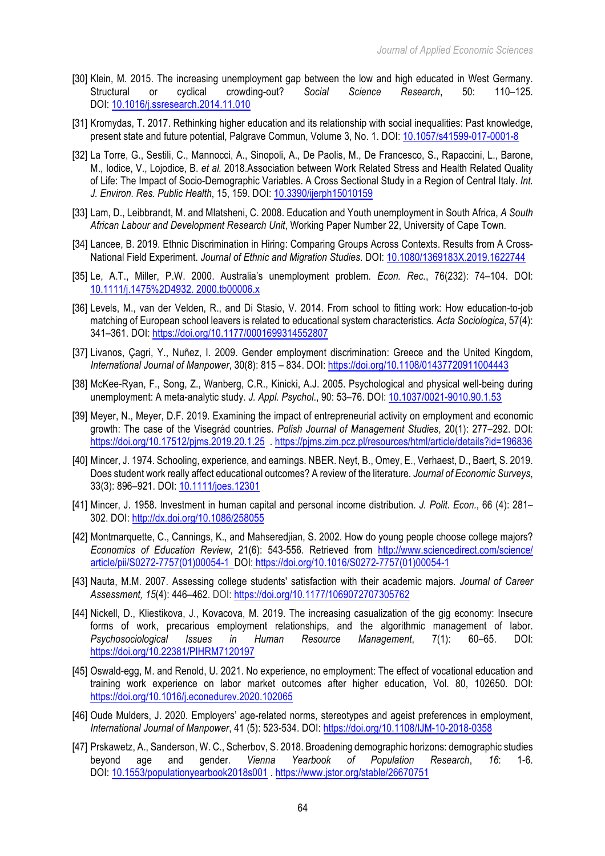- [30] Klein, M. 2015. The increasing unemployment gap between the low and high educated in West Germany. Structural or cyclical crowding-out? *Social Science Research*, 50: 110–125. DOI: 10.1016/j.ssresearch.2014.11.010
- [31] Kromydas, T. 2017. Rethinking higher education and its relationship with social inequalities: Past knowledge, present state and future potential, Palgrave Commun, Volume 3, No. 1. DOI: 10.1057/s41599-017-0001-8
- [32] La Torre, G., Sestili, C., Mannocci, A., Sinopoli, A., De Paolis, M., De Francesco, S., Rapaccini, L., Barone, M., Iodice, V., Lojodice, B. *et al.* 2018.Association between Work Related Stress and Health Related Quality of Life: The Impact of Socio-Demographic Variables. A Cross Sectional Study in a Region of Central Italy. *Int. J. Environ. Res. Public Health*, 15, 159. DOI: 10.3390/ijerph15010159
- [33] Lam, D., Leibbrandt, M. and Mlatsheni, C. 2008. Education and Youth unemployment in South Africa, *A South African Labour and Development Research Unit*, Working Paper Number 22, University of Cape Town.
- [34] Lancee, B. 2019. Ethnic Discrimination in Hiring: Comparing Groups Across Contexts. Results from A Cross-National Field Experiment. *Journal of Ethnic and Migration Studies*. DOI: 10.1080/1369183X.2019.1622744
- [35] Le, A.T., Miller, P.W. 2000. Australia's unemployment problem*. Econ. Rec.*, 76(232): 74–104. DOI: 10.1111/j.1475%2D4932. 2000.tb00006.x
- [36] Levels, M., van der Velden, R., and Di Stasio, V. 2014. From school to fitting work: How education-to-job matching of European school leavers is related to educational system characteristics*. Acta Sociologica*, 57(4): 341–361. DOI: https://doi.org/10.1177/0001699314552807
- [37] Livanos, Cagri, Y., Nuñez, I. 2009. Gender employment discrimination: Greece and the United Kingdom, *International Journal of Manpower*, 30(8): 815 – 834. DOI: https://doi.org/10.1108/01437720911004443
- [38] McKee-Ryan, F., Song, Z., Wanberg, C.R., Kinicki, A.J. 2005. Psychological and physical well-being during unemployment: A meta-analytic study. *J. Appl. Psychol*., 90: 53–76. DOI: 10.1037/0021-9010.90.1.53
- [39] Meyer, N., Meyer, D.F. 2019. Examining the impact of entrepreneurial activity on employment and economic growth: The case of the Visegrád countries. *Polish Journal of Management Studies*, 20(1): 277–292. DOI: https://doi.org/10.17512/pjms.2019.20.1.25 . https://pjms.zim.pcz.pl/resources/html/article/details?id=196836
- [40] Mincer, J. 1974. Schooling, experience, and earnings. NBER. Neyt, B., Omey, E., Verhaest, D., Baert, S. 2019. Does student work really affect educational outcomes? A review of the literature. *Journal of Economic Surveys*, 33(3): 896–921. DOI: 10.1111/joes.12301
- [41] Mincer, J. 1958. Investment in human capital and personal income distribution. *J. Polit. Econ.*, 66 (4): 281– 302. DOI: http://dx.doi.org/10.1086/258055
- [42] Montmarquette, C., Cannings, K., and Mahseredjian, S. 2002. How do young people choose college majors? *Economics of Education Review*, 21(6): 543-556. Retrieved from http://www.sciencedirect.com/science/ article/pii/S0272-7757(01)00054-1 DOI: https://doi.org/10.1016/S0272-7757(01)00054-1
- [43] Nauta, M.M. 2007. Assessing college students' satisfaction with their academic majors. *Journal of Career Assessment, 15*(4): 446–462. DOI: https://doi.org/10.1177/1069072707305762
- [44] Nickell, D., Kliestikova, J., Kovacova, M. 2019. The increasing casualization of the gig economy: Insecure forms of work, precarious employment relationships, and the algorithmic management of labor. *Psychosociological Issues in Human Resource Management*, 7(1): 60–65. DOI: https://doi.org/10.22381/PIHRM7120197
- [45] Oswald-egg, M. and Renold, U. 2021. No experience, no employment: The effect of vocational education and training work experience on labor market outcomes after higher education, Vol. 80, 102650. DOI: https://doi.org/10.1016/j.econedurev.2020.102065
- [46] Oude Mulders, J. 2020. Employers' age-related norms, stereotypes and ageist preferences in employment, *International Journal of Manpower*, 41 (5): 523-534. DOI: https://doi.org/10.1108/IJM-10-2018-0358
- [47] Prskawetz, A., Sanderson, W. C., Scherbov, S. 2018. Broadening demographic horizons: demographic studies beyond age and gender. *Vienna Yearbook of Population Research*, *16*: 1-6. DOI: 10.1553/populationyearbook2018s001 . https://www.jstor.org/stable/26670751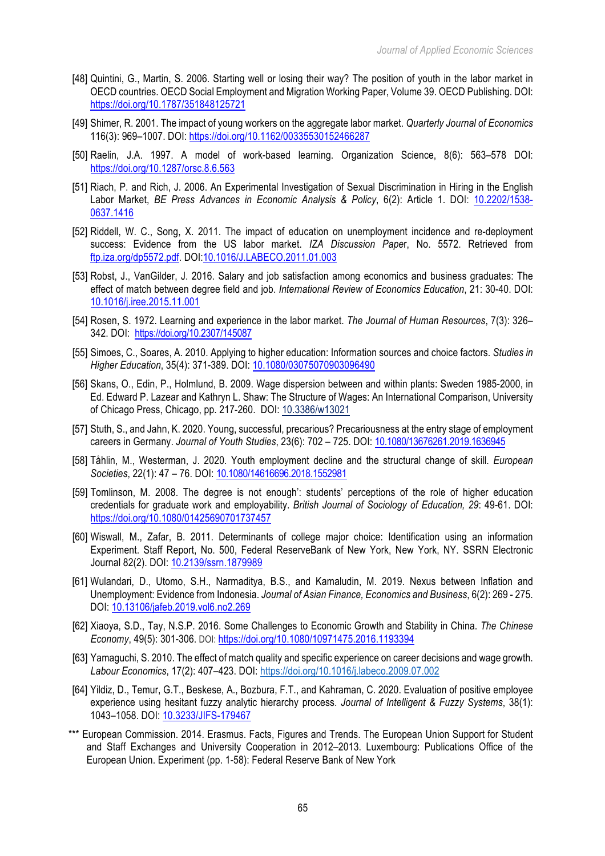- [48] Quintini, G., Martin, S. 2006. Starting well or losing their way? The position of youth in the labor market in OECD countries. OECD Social Employment and Migration Working Paper, Volume 39. OECD Publishing. DOI: https://doi.org/10.1787/351848125721
- [49] Shimer, R. 2001. The impact of young workers on the aggregate labor market. *Quarterly Journal of Economics* 116(3): 969–1007. DOI: https://doi.org/10.1162/00335530152466287
- [50] Raelin, J.A. 1997. A model of work-based learning. Organization Science, 8(6): 563–578 DOI: https://doi.org/10.1287/orsc.8.6.563
- [51] Riach, P. and Rich, J. 2006. An Experimental Investigation of Sexual Discrimination in Hiring in the English Labor Market, *BE Press Advances in Economic Analysis & Policy*, 6(2): Article 1. DOI: 10.2202/1538- 0637.1416
- [52] Riddell, W. C., Song, X. 2011. The impact of education on unemployment incidence and re-deployment success: Evidence from the US labor market. *IZA Discussion Pape*r, No. 5572. Retrieved from ftp.iza.org/dp5572.pdf. DOI:10.1016/J.LABECO.2011.01.003
- [53] Robst, J., VanGilder, J. 2016. Salary and job satisfaction among economics and business graduates: The effect of match between degree field and job. *International Review of Economics Education*, 21: 30-40. DOI: 10.1016/j.iree.2015.11.001
- [54] Rosen, S. 1972. Learning and experience in the labor market. *The Journal of Human Resources*, 7(3): 326– 342. DOI: https://doi.org/10.2307/145087
- [55] Simoes, C., Soares, A. 2010. Applying to higher education: Information sources and choice factors. *Studies in Higher Education*, 35(4): 371-389. DOI: 10.1080/03075070903096490
- [56] Skans, O., Edin, P., Holmlund, B. 2009. Wage dispersion between and within plants: Sweden 1985-2000, in Ed. Edward P. Lazear and Kathryn L. Shaw: The Structure of Wages: An International Comparison, University of Chicago Press, Chicago, pp. 217-260. DOI: 10.3386/w13021
- [57] Stuth, S., and Jahn, K. 2020. Young, successful, precarious? Precariousness at the entry stage of employment careers in Germany. *Journal of Youth Studies*, 23(6): 702 – 725. DOI: 10.1080/13676261.2019.1636945
- [58] Tåhlin, M., Westerman, J. 2020. Youth employment decline and the structural change of skill. *European Societies*, 22(1): 47 – 76. DOI: 10.1080/14616696.2018.1552981
- [59] Tomlinson, M. 2008. The degree is not enough': students' perceptions of the role of higher education credentials for graduate work and employability. *British Journal of Sociology of Education, 29*: 49-61. DOI: https://doi.org/10.1080/01425690701737457
- [60] Wiswall, M., Zafar, B. 2011. Determinants of college major choice: Identification using an information Experiment. Staff Report, No. 500, Federal ReserveBank of New York, New York, NY. SSRN Electronic Journal 82(2). DOI: 10.2139/ssrn.1879989
- [61] Wulandari, D., Utomo, S.H., Narmaditya, B.S., and Kamaludin, M. 2019. Nexus between Inflation and Unemployment: Evidence from Indonesia. *Journal of Asian Finance, Economics and Business*, 6(2): 269 - 275. DOI: 10.13106/jafeb.2019.vol6.no2.269
- [62] Xiaoya, S.D., Tay, N.S.P. 2016. Some Challenges to Economic Growth and Stability in China. *The Chinese Economy*, 49(5): 301-306. DOI: https://doi.org/10.1080/10971475.2016.1193394
- [63] Yamaguchi, S. 2010. The effect of match quality and specific experience on career decisions and wage growth. *Labour Economics*, 17(2): 407–423. DOI: https://doi.org/10.1016/j.labeco.2009.07.002
- [64] Yildiz, D., Temur, G.T., Beskese, A., Bozbura, F.T., and Kahraman, C. 2020. Evaluation of positive employee experience using hesitant fuzzy analytic hierarchy process. *Journal of Intelligent & Fuzzy Systems*, 38(1): 1043–1058. DOI: 10.3233/JIFS-179467
- \*\*\* European Commission. 2014. Erasmus. Facts, Figures and Trends. The European Union Support for Student and Staff Exchanges and University Cooperation in 2012–2013. Luxembourg: Publications Office of the European Union. Experiment (pp. 1-58): Federal Reserve Bank of New York